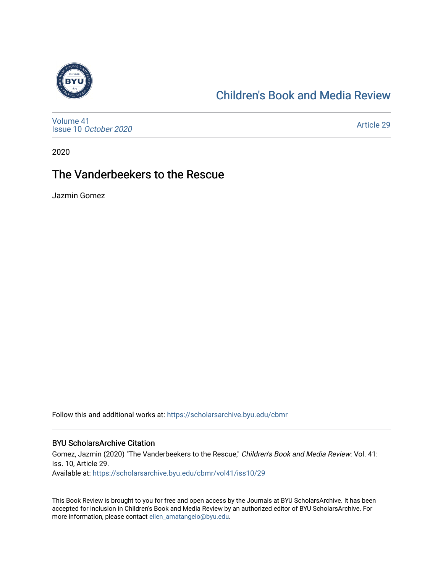

## [Children's Book and Media Review](https://scholarsarchive.byu.edu/cbmr)

[Volume 41](https://scholarsarchive.byu.edu/cbmr/vol41) Issue 10 [October 2020](https://scholarsarchive.byu.edu/cbmr/vol41/iss10)

[Article 29](https://scholarsarchive.byu.edu/cbmr/vol41/iss10/29) 

2020

# The Vanderbeekers to the Rescue

Jazmin Gomez

Follow this and additional works at: [https://scholarsarchive.byu.edu/cbmr](https://scholarsarchive.byu.edu/cbmr?utm_source=scholarsarchive.byu.edu%2Fcbmr%2Fvol41%2Fiss10%2F29&utm_medium=PDF&utm_campaign=PDFCoverPages) 

#### BYU ScholarsArchive Citation

Gomez, Jazmin (2020) "The Vanderbeekers to the Rescue," Children's Book and Media Review: Vol. 41: Iss. 10, Article 29. Available at: [https://scholarsarchive.byu.edu/cbmr/vol41/iss10/29](https://scholarsarchive.byu.edu/cbmr/vol41/iss10/29?utm_source=scholarsarchive.byu.edu%2Fcbmr%2Fvol41%2Fiss10%2F29&utm_medium=PDF&utm_campaign=PDFCoverPages) 

This Book Review is brought to you for free and open access by the Journals at BYU ScholarsArchive. It has been accepted for inclusion in Children's Book and Media Review by an authorized editor of BYU ScholarsArchive. For more information, please contact [ellen\\_amatangelo@byu.edu.](mailto:ellen_amatangelo@byu.edu)